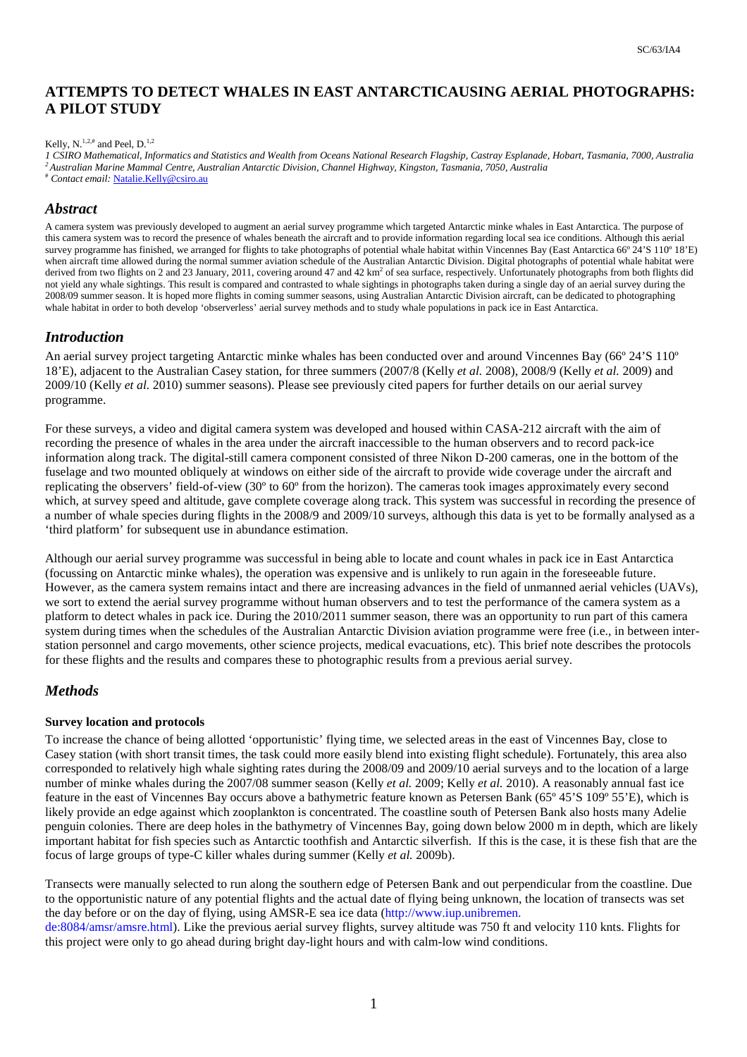# **ATTEMPTS TO DETECT WHALES IN EAST ANTARCTICAUSING AERIAL PHOTOGRAPHS: A PILOT STUDY**

#### Kelly, N.<sup>1,2,#</sup> and Peel, D.<sup>1,2</sup>

*1 CSIRO Mathematical, Informatics and Statistics and Wealth from Oceans National Research Flagship, Castray Esplanade, Hobart, Tasmania, 7000, Australia <sup>2</sup>Australian Marine Mammal Centre, Australian Antarctic Division, Channel Highway, Kingston, Tasmania, 7050, Australia* 

# *Contact email:* Natalie.Kelly@csiro.au

## *Abstract*

A camera system was previously developed to augment an aerial survey programme which targeted Antarctic minke whales in East Antarctica. The purpose of this camera system was to record the presence of whales beneath the aircraft and to provide information regarding local sea ice conditions. Although this aerial survey programme has finished, we arranged for flights to take photographs of potential whale habitat within Vincennes Bay (East Antarctica 66° 24'S 110° 18'E) when aircraft time allowed during the normal summer aviation schedule of the Australian Antarctic Division. Digital photographs of potential whale habitat were derived from two flights on 2 and 23 January, 2011, covering around 47 and 42 km<sup>2</sup> of sea surface, respectively. Unfortunately photographs from both flights did not yield any whale sightings. This result is compared and contrasted to whale sightings in photographs taken during a single day of an aerial survey during the 2008/09 summer season. It is hoped more flights in coming summer seasons, using Australian Antarctic Division aircraft, can be dedicated to photographing whale habitat in order to both develop 'observerless' aerial survey methods and to study whale populations in pack ice in East Antarctica.

### *Introduction*

An aerial survey project targeting Antarctic minke whales has been conducted over and around Vincennes Bay (66° 24'S 110° 18'E), adjacent to the Australian Casey station, for three summers (2007/8 (Kelly *et al.* 2008), 2008/9 (Kelly *et al.* 2009) and 2009/10 (Kelly *et al.* 2010) summer seasons). Please see previously cited papers for further details on our aerial survey programme.

For these surveys, a video and digital camera system was developed and housed within CASA-212 aircraft with the aim of recording the presence of whales in the area under the aircraft inaccessible to the human observers and to record pack-ice information along track. The digital-still camera component consisted of three Nikon D-200 cameras, one in the bottom of the fuselage and two mounted obliquely at windows on either side of the aircraft to provide wide coverage under the aircraft and replicating the observers' field-of-view (30º to 60º from the horizon). The cameras took images approximately every second which, at survey speed and altitude, gave complete coverage along track. This system was successful in recording the presence of a number of whale species during flights in the 2008/9 and 2009/10 surveys, although this data is yet to be formally analysed as a 'third platform' for subsequent use in abundance estimation.

Although our aerial survey programme was successful in being able to locate and count whales in pack ice in East Antarctica (focussing on Antarctic minke whales), the operation was expensive and is unlikely to run again in the foreseeable future. However, as the camera system remains intact and there are increasing advances in the field of unmanned aerial vehicles (UAVs), we sort to extend the aerial survey programme without human observers and to test the performance of the camera system as a platform to detect whales in pack ice. During the 2010/2011 summer season, there was an opportunity to run part of this camera system during times when the schedules of the Australian Antarctic Division aviation programme were free (i.e., in between interstation personnel and cargo movements, other science projects, medical evacuations, etc). This brief note describes the protocols for these flights and the results and compares these to photographic results from a previous aerial survey.

# *Methods*

#### **Survey location and protocols**

To increase the chance of being allotted 'opportunistic' flying time, we selected areas in the east of Vincennes Bay, close to Casey station (with short transit times, the task could more easily blend into existing flight schedule). Fortunately, this area also corresponded to relatively high whale sighting rates during the 2008/09 and 2009/10 aerial surveys and to the location of a large number of minke whales during the 2007/08 summer season (Kelly *et al.* 2009; Kelly *et al.* 2010). A reasonably annual fast ice feature in the east of Vincennes Bay occurs above a bathymetric feature known as Petersen Bank (65º 45'S 109º 55'E), which is likely provide an edge against which zooplankton is concentrated. The coastline south of Petersen Bank also hosts many Adelie penguin colonies. There are deep holes in the bathymetry of Vincennes Bay, going down below 2000 m in depth, which are likely important habitat for fish species such as Antarctic toothfish and Antarctic silverfish. If this is the case, it is these fish that are the focus of large groups of type-C killer whales during summer (Kelly *et al.* 2009b).

Transects were manually selected to run along the southern edge of Petersen Bank and out perpendicular from the coastline. Due to the opportunistic nature of any potential flights and the actual date of flying being unknown, the location of transects was set the day before or on the day of flying, using AMSR-E sea ice data (http://www.iup.unibremen.

de:8084/amsr/amsre.html). Like the previous aerial survey flights, survey altitude was 750 ft and velocity 110 knts. Flights for this project were only to go ahead during bright day-light hours and with calm-low wind conditions.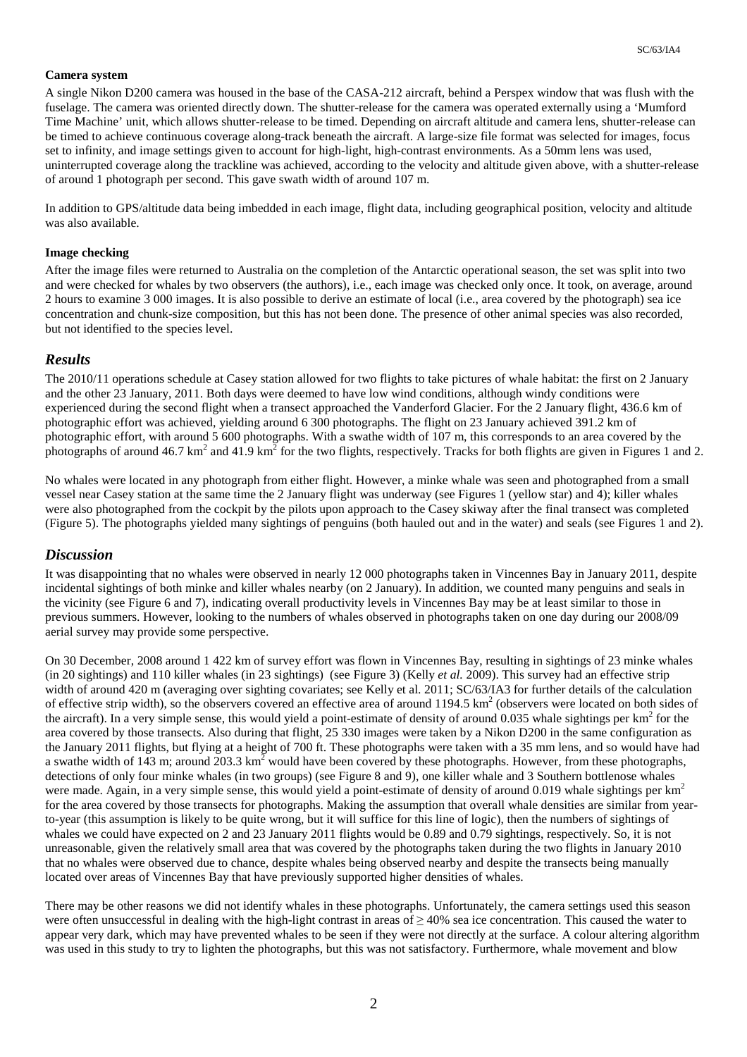#### **Camera system**

A single Nikon D200 camera was housed in the base of the CASA-212 aircraft, behind a Perspex window that was flush with the fuselage. The camera was oriented directly down. The shutter-release for the camera was operated externally using a 'Mumford Time Machine' unit, which allows shutter-release to be timed. Depending on aircraft altitude and camera lens, shutter-release can be timed to achieve continuous coverage along-track beneath the aircraft. A large-size file format was selected for images, focus set to infinity, and image settings given to account for high-light, high-contrast environments. As a 50mm lens was used, uninterrupted coverage along the trackline was achieved, according to the velocity and altitude given above, with a shutter-release of around 1 photograph per second. This gave swath width of around 107 m.

In addition to GPS/altitude data being imbedded in each image, flight data, including geographical position, velocity and altitude was also available.

#### **Image checking**

After the image files were returned to Australia on the completion of the Antarctic operational season, the set was split into two and were checked for whales by two observers (the authors), i.e., each image was checked only once. It took, on average, around 2 hours to examine 3 000 images. It is also possible to derive an estimate of local (i.e., area covered by the photograph) sea ice concentration and chunk-size composition, but this has not been done. The presence of other animal species was also recorded, but not identified to the species level.

### *Results*

The 2010/11 operations schedule at Casey station allowed for two flights to take pictures of whale habitat: the first on 2 January and the other 23 January, 2011. Both days were deemed to have low wind conditions, although windy conditions were experienced during the second flight when a transect approached the Vanderford Glacier. For the 2 January flight, 436.6 km of photographic effort was achieved, yielding around 6 300 photographs. The flight on 23 January achieved 391.2 km of photographic effort, with around 5 600 photographs. With a swathe width of 107 m, this corresponds to an area covered by the photographs of around 46.7 km<sup>2</sup> and 41.9 km<sup>2</sup> for the two flights, respectively. Tracks for both flights are given in Figures 1 and 2.

No whales were located in any photograph from either flight. However, a minke whale was seen and photographed from a small vessel near Casey station at the same time the 2 January flight was underway (see Figures 1 (yellow star) and 4); killer whales were also photographed from the cockpit by the pilots upon approach to the Casey skiway after the final transect was completed (Figure 5). The photographs yielded many sightings of penguins (both hauled out and in the water) and seals (see Figures 1 and 2).

#### *Discussion*

It was disappointing that no whales were observed in nearly 12 000 photographs taken in Vincennes Bay in January 2011, despite incidental sightings of both minke and killer whales nearby (on 2 January). In addition, we counted many penguins and seals in the vicinity (see Figure 6 and 7), indicating overall productivity levels in Vincennes Bay may be at least similar to those in previous summers. However, looking to the numbers of whales observed in photographs taken on one day during our 2008/09 aerial survey may provide some perspective.

On 30 December, 2008 around 1 422 km of survey effort was flown in Vincennes Bay, resulting in sightings of 23 minke whales (in 20 sightings) and 110 killer whales (in 23 sightings) (see Figure 3) (Kelly *et al.* 2009). This survey had an effective strip width of around 420 m (averaging over sighting covariates; see Kelly et al. 2011; SC/63/IA3 for further details of the calculation of effective strip width), so the observers covered an effective area of around  $1194.5 \text{ km}^2$  (observers were located on both sides of the aircraft). In a very simple sense, this would yield a point-estimate of density of around 0.035 whale sightings per  $km^2$  for the area covered by those transects. Also during that flight, 25 330 images were taken by a Nikon D200 in the same configuration as the January 2011 flights, but flying at a height of 700 ft. These photographs were taken with a 35 mm lens, and so would have had a swathe width of 143 m; around 203.3 km<sup>2</sup> would have been covered by these photographs. However, from these photographs, detections of only four minke whales (in two groups) (see Figure 8 and 9), one killer whale and 3 Southern bottlenose whales were made. Again, in a very simple sense, this would yield a point-estimate of density of around 0.019 whale sightings per  $km<sup>2</sup>$ for the area covered by those transects for photographs. Making the assumption that overall whale densities are similar from yearto-year (this assumption is likely to be quite wrong, but it will suffice for this line of logic), then the numbers of sightings of whales we could have expected on 2 and 23 January 2011 flights would be 0.89 and 0.79 sightings, respectively. So, it is not unreasonable, given the relatively small area that was covered by the photographs taken during the two flights in January 2010 that no whales were observed due to chance, despite whales being observed nearby and despite the transects being manually located over areas of Vincennes Bay that have previously supported higher densities of whales.

There may be other reasons we did not identify whales in these photographs. Unfortunately, the camera settings used this season were often unsuccessful in dealing with the high-light contrast in areas of  $\geq$  40% sea ice concentration. This caused the water to appear very dark, which may have prevented whales to be seen if they were not directly at the surface. A colour altering algorithm was used in this study to try to lighten the photographs, but this was not satisfactory. Furthermore, whale movement and blow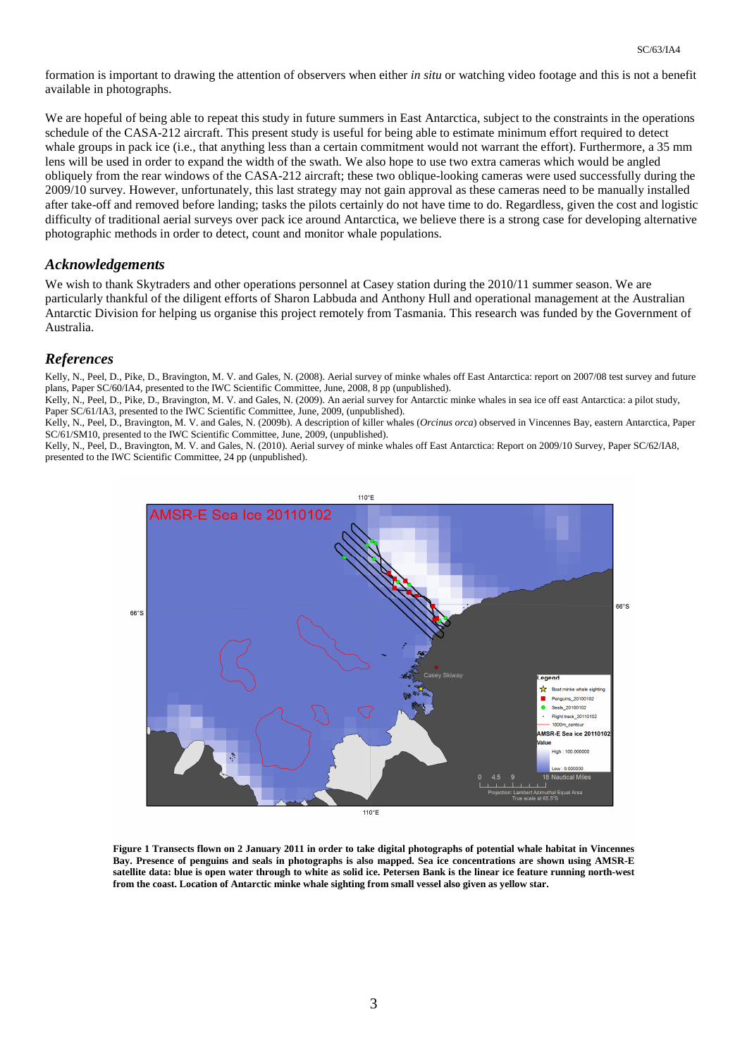formation is important to drawing the attention of observers when either *in situ* or watching video footage and this is not a benefit available in photographs.

We are hopeful of being able to repeat this study in future summers in East Antarctica, subject to the constraints in the operations schedule of the CASA-212 aircraft. This present study is useful for being able to estimate minimum effort required to detect whale groups in pack ice (i.e., that anything less than a certain commitment would not warrant the effort). Furthermore, a 35 mm lens will be used in order to expand the width of the swath. We also hope to use two extra cameras which would be angled obliquely from the rear windows of the CASA-212 aircraft; these two oblique-looking cameras were used successfully during the 2009/10 survey. However, unfortunately, this last strategy may not gain approval as these cameras need to be manually installed after take-off and removed before landing; tasks the pilots certainly do not have time to do. Regardless, given the cost and logistic difficulty of traditional aerial surveys over pack ice around Antarctica, we believe there is a strong case for developing alternative photographic methods in order to detect, count and monitor whale populations.

#### *Acknowledgements*

We wish to thank Skytraders and other operations personnel at Casey station during the 2010/11 summer season. We are particularly thankful of the diligent efforts of Sharon Labbuda and Anthony Hull and operational management at the Australian Antarctic Division for helping us organise this project remotely from Tasmania. This research was funded by the Government of Australia.

# *References*

Kelly, N., Peel, D., Pike, D., Bravington, M. V. and Gales, N. (2008). Aerial survey of minke whales off East Antarctica: report on 2007/08 test survey and future plans, Paper SC/60/IA4, presented to the IWC Scientific Committee, June, 2008, 8 pp (unpublished).

Kelly, N., Peel, D., Pike, D., Bravington, M. V. and Gales, N. (2009). An aerial survey for Antarctic minke whales in sea ice off east Antarctica: a pilot study, Paper SC/61/IA3, presented to the IWC Scientific Committee, June, 2009, (unpublished).

Kelly, N., Peel, D., Bravington, M. V. and Gales, N. (2009b). A description of killer whales (*Orcinus orca*) observed in Vincennes Bay, eastern Antarctica, Paper SC/61/SM10, presented to the IWC Scientific Committee, June, 2009, (unpublished).

Kelly, N., Peel, D., Bravington, M. V. and Gales, N. (2010). Aerial survey of minke whales off East Antarctica: Report on 2009/10 Survey, Paper SC/62/IA8, presented to the IWC Scientific Committee, 24 pp (unpublished).



**Figure 1 Transects flown on 2 January 2011 in order to take digital photographs of potential whale habitat in Vincennes Bay. Presence of penguins and seals in photographs is also mapped. Sea ice concentrations are shown using AMSR-E satellite data: blue is open water through to white as solid ice. Petersen Bank is the linear ice feature running north-west from the coast. Location of Antarctic minke whale sighting from small vessel also given as yellow star.**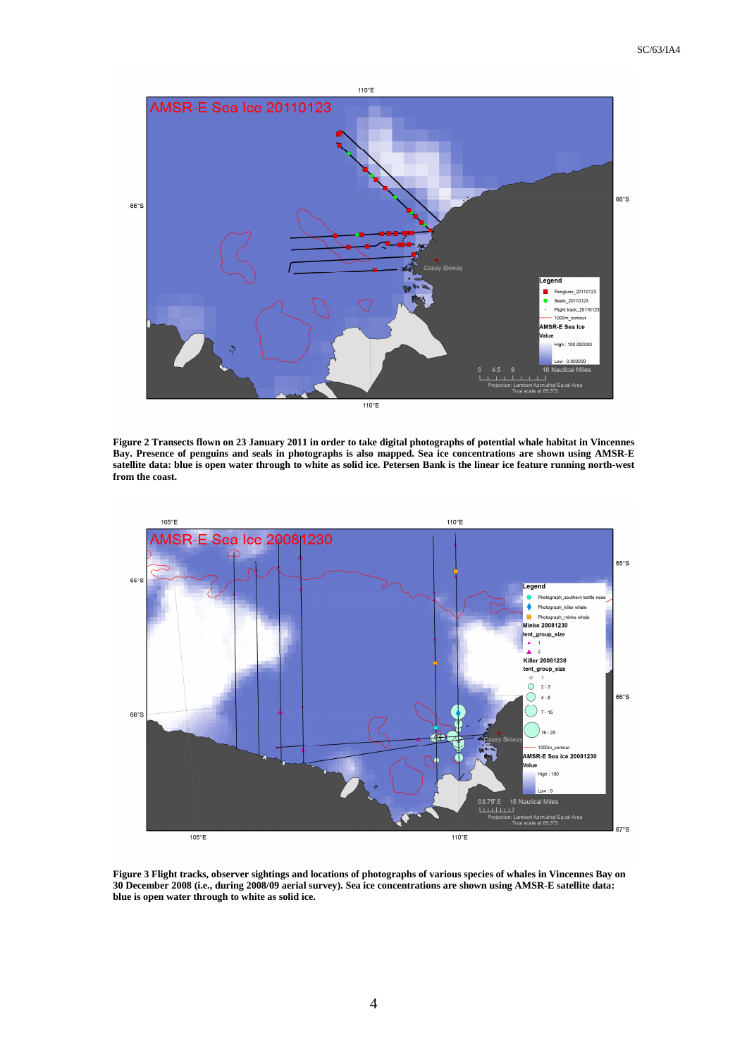

**Figure 2 Transects flown on 23 January 2011 in order to take digital photographs of potential whale habitat in Vincennes Bay. Presence of penguins and seals in photographs is also mapped. Sea ice concentrations are shown using AMSR-E satellite data: blue is open water through to white as solid ice. Petersen Bank is the linear ice feature running north-west from the coast.** 



**Figure 3 Flight tracks, observer sightings and locations of photographs of various species of whales in Vincennes Bay on 30 December 2008 (i.e., during 2008/09 aerial survey). Sea ice concentrations are shown using AMSR-E satellite data: blue is open water through to white as solid ice.**